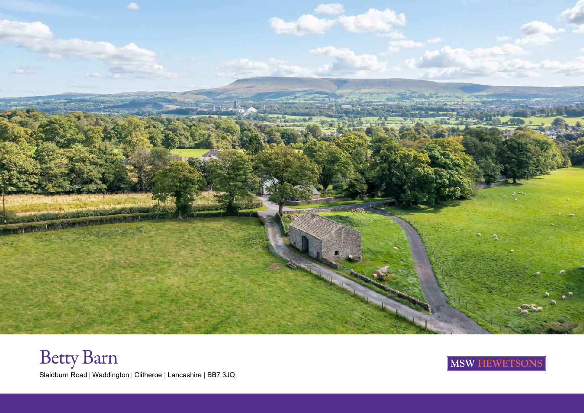

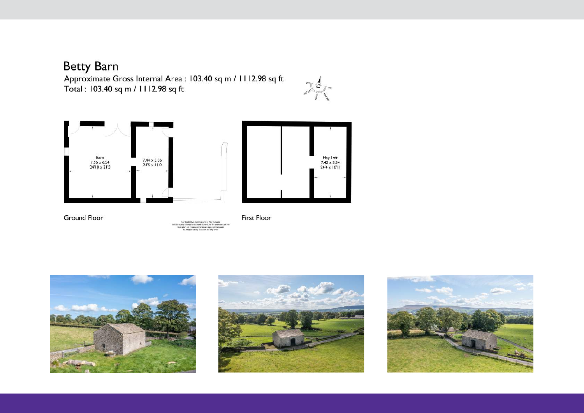## **Betty Barn**

Approximate Gross Internal Area : 103.40 sq m / 1112.98 sq ft Total: 103.40 sq m / 1112.98 sq ft





Ground Floor

ript was mode to ensure the a



**First Floor** 



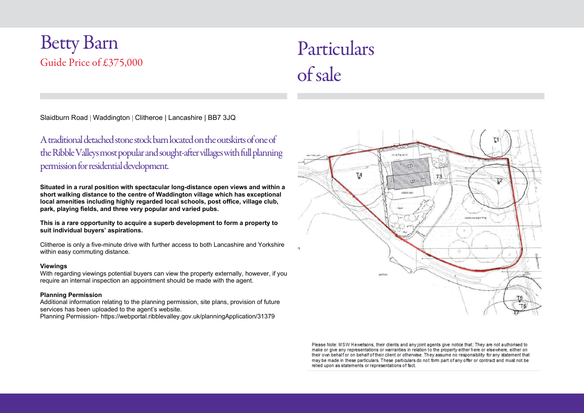## Betty Barn Guide Price of £375,000

# Particulars of sale

Slaidburn Road | Waddington | Clitheroe | Lancashire | BB7 3JQ

### A traditional detached stone stock barn located on the outskirts of one of the Ribble Valleys most popular and sought-after villages with full planning permission for residential development.

Situated in a rural position with spectacular long-distance open views and within a short walking distance to the centre of Waddington village which has exceptional local amenities including highly regarded local schools, post office, village club, park, playing fields, and three very popular and varied pubs.

This is a rare opportunity to acquire a superb development to form a property to suit individual buyers' aspirations.

Clitheroe is only a five-minute drive with further access to both Lancashire and Yorkshire within easy commuting distance.

#### Viewings

With regarding viewings potential buyers can view the property externally, however, if you require an internal inspection an appointment should be made with the agent.

#### Planning Permission

Additional information relating to the planning permission, site plans, provision of future services has been uploaded to the agent's website.

Planning Permission- https://webportal.ribblevalley.gov.uk/planningApplication/31379



Please Note: MSW Hewetsons, their clients and any joint agents give notice that; They are not authorised to make or give any representations or warranties in relation to the property either here or elsewhere, either on their own behalf or on behalf of their client or otherwise. They assume no responsibility for any statement that may be made in these particulars. These particulars do not form part of any offer or contract and must not be relied upon as statements or representations of fact.